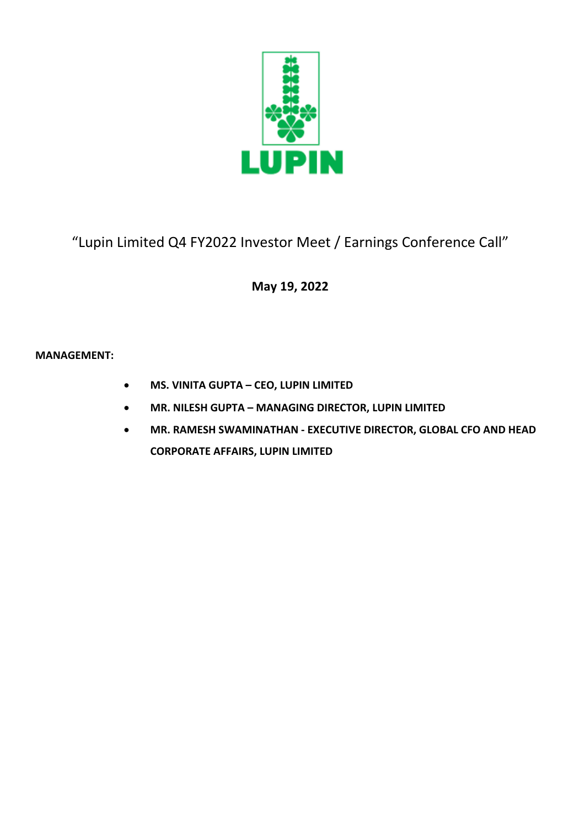

# "Lupin Limited Q4 FY2022 Investor Meet / Earnings Conference Call"

## **May 19, 2022**

### **MANAGEMENT:**

- **MS. VINITA GUPTA – CEO, LUPIN LIMITED**
- **MR. NILESH GUPTA – MANAGING DIRECTOR, LUPIN LIMITED**
- **MR. RAMESH SWAMINATHAN - EXECUTIVE DIRECTOR, GLOBAL CFO AND HEAD CORPORATE AFFAIRS, LUPIN LIMITED**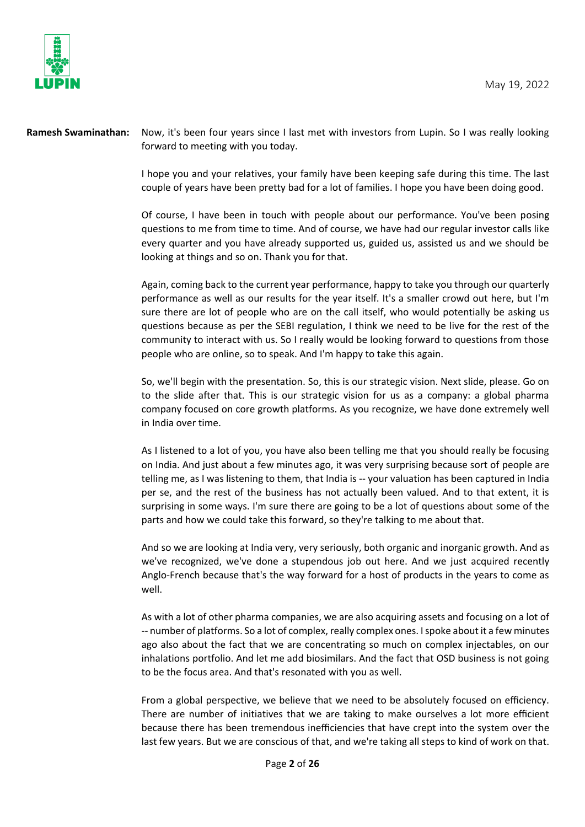

**Ramesh Swaminathan:** Now, it's been four years since I last met with investors from Lupin. So I was really looking forward to meeting with you today.

> I hope you and your relatives, your family have been keeping safe during this time. The last couple of years have been pretty bad for a lot of families. I hope you have been doing good.

> Of course, I have been in touch with people about our performance. You've been posing questions to me from time to time. And of course, we have had our regular investor calls like every quarter and you have already supported us, guided us, assisted us and we should be looking at things and so on. Thank you for that.

> Again, coming back to the current year performance, happy to take you through our quarterly performance as well as our results for the year itself. It's a smaller crowd out here, but I'm sure there are lot of people who are on the call itself, who would potentially be asking us questions because as per the SEBI regulation, I think we need to be live for the rest of the community to interact with us. So I really would be looking forward to questions from those people who are online, so to speak. And I'm happy to take this again.

> So, we'll begin with the presentation. So, this is our strategic vision. Next slide, please. Go on to the slide after that. This is our strategic vision for us as a company: a global pharma company focused on core growth platforms. As you recognize, we have done extremely well in India over time.

> As I listened to a lot of you, you have also been telling me that you should really be focusing on India. And just about a few minutes ago, it was very surprising because sort of people are telling me, as I was listening to them, that India is -- your valuation has been captured in India per se, and the rest of the business has not actually been valued. And to that extent, it is surprising in some ways. I'm sure there are going to be a lot of questions about some of the parts and how we could take this forward, so they're talking to me about that.

> And so we are looking at India very, very seriously, both organic and inorganic growth. And as we've recognized, we've done a stupendous job out here. And we just acquired recently Anglo-French because that's the way forward for a host of products in the years to come as well.

> As with a lot of other pharma companies, we are also acquiring assets and focusing on a lot of -- number of platforms. So a lot of complex, really complex ones. I spoke about it a few minutes ago also about the fact that we are concentrating so much on complex injectables, on our inhalations portfolio. And let me add biosimilars. And the fact that OSD business is not going to be the focus area. And that's resonated with you as well.

> From a global perspective, we believe that we need to be absolutely focused on efficiency. There are number of initiatives that we are taking to make ourselves a lot more efficient because there has been tremendous inefficiencies that have crept into the system over the last few years. But we are conscious of that, and we're taking all steps to kind of work on that.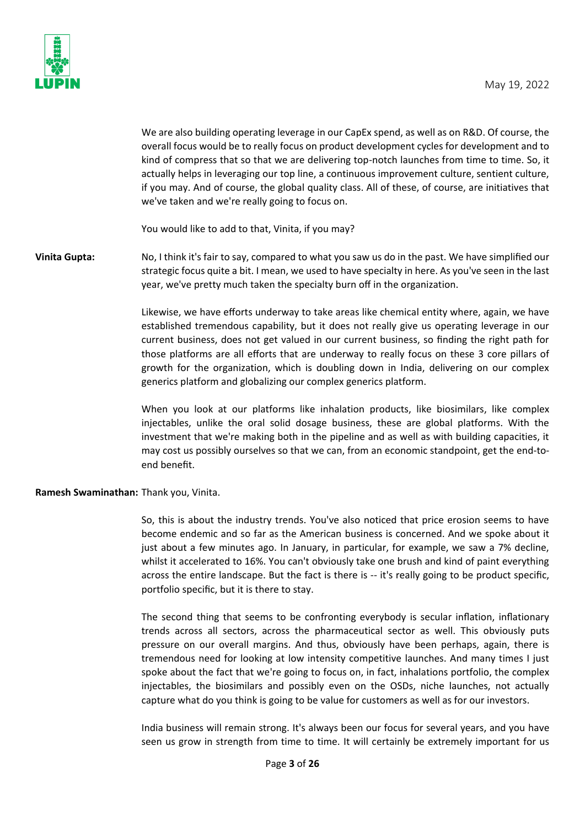

We are also building operating leverage in our CapEx spend, as well as on R&D. Of course, the overall focus would be to really focus on product development cycles for development and to kind of compress that so that we are delivering top-notch launches from time to time. So, it actually helps in leveraging our top line, a continuous improvement culture, sentient culture, if you may. And of course, the global quality class. All of these, of course, are initiatives that we've taken and we're really going to focus on.

You would like to add to that, Vinita, if you may?

**Vinita Gupta:** No, I think it's fair to say, compared to what you saw us do in the past. We have simplified our strategic focus quite a bit. I mean, we used to have specialty in here. As you've seen in the last year, we've pretty much taken the specialty burn off in the organization.

> Likewise, we have efforts underway to take areas like chemical entity where, again, we have established tremendous capability, but it does not really give us operating leverage in our current business, does not get valued in our current business, so finding the right path for those platforms are all efforts that are underway to really focus on these 3 core pillars of growth for the organization, which is doubling down in India, delivering on our complex generics platform and globalizing our complex generics platform.

> When you look at our platforms like inhalation products, like biosimilars, like complex injectables, unlike the oral solid dosage business, these are global platforms. With the investment that we're making both in the pipeline and as well as with building capacities, it may cost us possibly ourselves so that we can, from an economic standpoint, get the end-toend benefit.

#### **Ramesh Swaminathan:** Thank you, Vinita.

So, this is about the industry trends. You've also noticed that price erosion seems to have become endemic and so far as the American business is concerned. And we spoke about it just about a few minutes ago. In January, in particular, for example, we saw a 7% decline, whilst it accelerated to 16%. You can't obviously take one brush and kind of paint everything across the entire landscape. But the fact is there is -- it's really going to be product specific, portfolio specific, but it is there to stay.

The second thing that seems to be confronting everybody is secular inflation, inflationary trends across all sectors, across the pharmaceutical sector as well. This obviously puts pressure on our overall margins. And thus, obviously have been perhaps, again, there is tremendous need for looking at low intensity competitive launches. And many times I just spoke about the fact that we're going to focus on, in fact, inhalations portfolio, the complex injectables, the biosimilars and possibly even on the OSDs, niche launches, not actually capture what do you think is going to be value for customers as well as for our investors.

India business will remain strong. It's always been our focus for several years, and you have seen us grow in strength from time to time. It will certainly be extremely important for us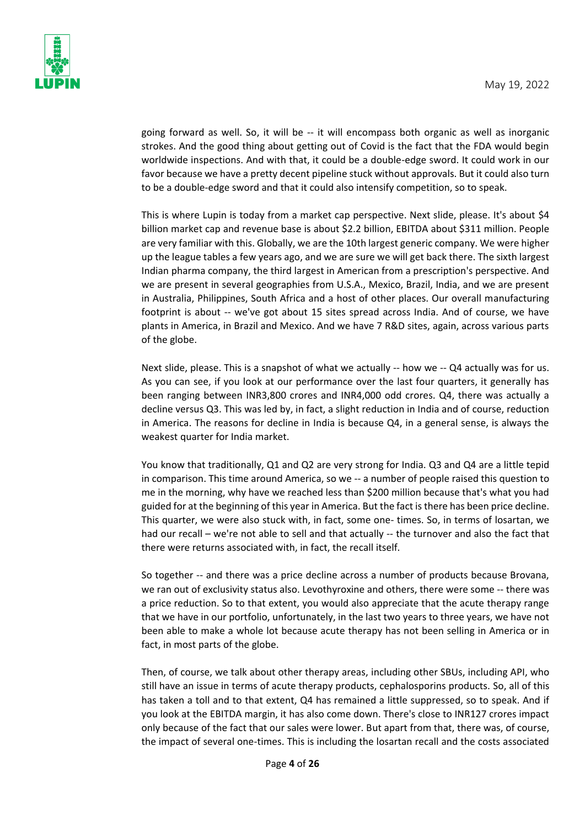

going forward as well. So, it will be -- it will encompass both organic as well as inorganic strokes. And the good thing about getting out of Covid is the fact that the FDA would begin worldwide inspections. And with that, it could be a double-edge sword. It could work in our favor because we have a pretty decent pipeline stuck without approvals. But it could also turn to be a double-edge sword and that it could also intensify competition, so to speak.

This is where Lupin is today from a market cap perspective. Next slide, please. It's about \$4 billion market cap and revenue base is about \$2.2 billion, EBITDA about \$311 million. People are very familiar with this. Globally, we are the 10th largest generic company. We were higher up the league tables a few years ago, and we are sure we will get back there. The sixth largest Indian pharma company, the third largest in American from a prescription's perspective. And we are present in several geographies from U.S.A., Mexico, Brazil, India, and we are present in Australia, Philippines, South Africa and a host of other places. Our overall manufacturing footprint is about -- we've got about 15 sites spread across India. And of course, we have plants in America, in Brazil and Mexico. And we have 7 R&D sites, again, across various parts of the globe.

Next slide, please. This is a snapshot of what we actually -- how we -- Q4 actually was for us. As you can see, if you look at our performance over the last four quarters, it generally has been ranging between INR3,800 crores and INR4,000 odd crores. Q4, there was actually a decline versus Q3. This was led by, in fact, a slight reduction in India and of course, reduction in America. The reasons for decline in India is because Q4, in a general sense, is always the weakest quarter for India market.

You know that traditionally, Q1 and Q2 are very strong for India. Q3 and Q4 are a little tepid in comparison. This time around America, so we -- a number of people raised this question to me in the morning, why have we reached less than \$200 million because that's what you had guided for at the beginning of this year in America. But the fact is there has been price decline. This quarter, we were also stuck with, in fact, some one- times. So, in terms of losartan, we had our recall – we're not able to sell and that actually -- the turnover and also the fact that there were returns associated with, in fact, the recall itself.

So together -- and there was a price decline across a number of products because Brovana, we ran out of exclusivity status also. Levothyroxine and others, there were some -- there was a price reduction. So to that extent, you would also appreciate that the acute therapy range that we have in our portfolio, unfortunately, in the last two years to three years, we have not been able to make a whole lot because acute therapy has not been selling in America or in fact, in most parts of the globe.

Then, of course, we talk about other therapy areas, including other SBUs, including API, who still have an issue in terms of acute therapy products, cephalosporins products. So, all of this has taken a toll and to that extent, Q4 has remained a little suppressed, so to speak. And if you look at the EBITDA margin, it has also come down. There's close to INR127 crores impact only because of the fact that our sales were lower. But apart from that, there was, of course, the impact of several one-times. This is including the losartan recall and the costs associated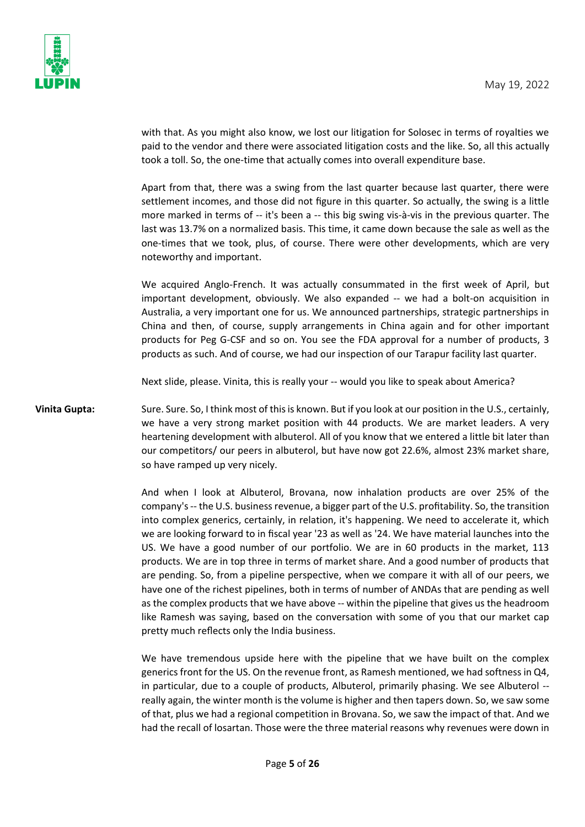

with that. As you might also know, we lost our litigation for Solosec in terms of royalties we paid to the vendor and there were associated litigation costs and the like. So, all this actually took a toll. So, the one-time that actually comes into overall expenditure base.

Apart from that, there was a swing from the last quarter because last quarter, there were settlement incomes, and those did not figure in this quarter. So actually, the swing is a little more marked in terms of -- it's been a -- this big swing vis-à-vis in the previous quarter. The last was 13.7% on a normalized basis. This time, it came down because the sale as well as the one-times that we took, plus, of course. There were other developments, which are very noteworthy and important.

We acquired Anglo-French. It was actually consummated in the first week of April, but important development, obviously. We also expanded -- we had a bolt-on acquisition in Australia, a very important one for us. We announced partnerships, strategic partnerships in China and then, of course, supply arrangements in China again and for other important products for Peg G-CSF and so on. You see the FDA approval for a number of products, 3 products as such. And of course, we had our inspection of our Tarapur facility last quarter.

Next slide, please. Vinita, this is really your -- would you like to speak about America?

Vinita Gupta: Sure. Sure. So, I think most of this is known. But if you look at our position in the U.S., certainly, we have a very strong market position with 44 products. We are market leaders. A very heartening development with albuterol. All of you know that we entered a little bit later than our competitors/ our peers in albuterol, but have now got 22.6%, almost 23% market share, so have ramped up very nicely.

> And when I look at Albuterol, Brovana, now inhalation products are over 25% of the company's -- the U.S. business revenue, a bigger part of the U.S. profitability. So, the transition into complex generics, certainly, in relation, it's happening. We need to accelerate it, which we are looking forward to in fiscal year '23 as well as '24. We have material launches into the US. We have a good number of our portfolio. We are in 60 products in the market, 113 products. We are in top three in terms of market share. And a good number of products that are pending. So, from a pipeline perspective, when we compare it with all of our peers, we have one of the richest pipelines, both in terms of number of ANDAs that are pending as well as the complex products that we have above -- within the pipeline that gives us the headroom like Ramesh was saying, based on the conversation with some of you that our market cap pretty much reflects only the India business.

> We have tremendous upside here with the pipeline that we have built on the complex generics front for the US. On the revenue front, as Ramesh mentioned, we had softness in Q4, in particular, due to a couple of products, Albuterol, primarily phasing. We see Albuterol - really again, the winter month is the volume is higher and then tapers down. So, we saw some of that, plus we had a regional competition in Brovana. So, we saw the impact of that. And we had the recall of losartan. Those were the three material reasons why revenues were down in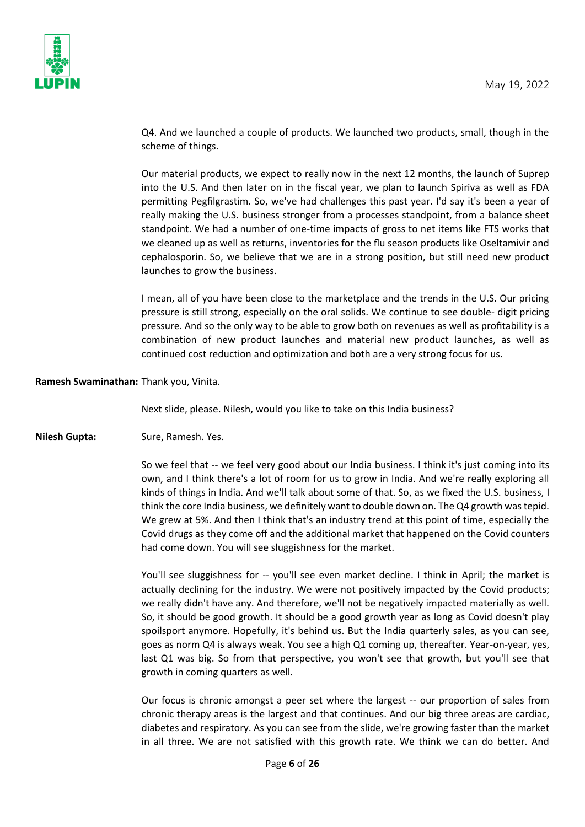

Q4. And we launched a couple of products. We launched two products, small, though in the scheme of things.

Our material products, we expect to really now in the next 12 months, the launch of Suprep into the U.S. And then later on in the fiscal year, we plan to launch Spiriva as well as FDA permitting Pegfilgrastim. So, we've had challenges this past year. I'd say it's been a year of really making the U.S. business stronger from a processes standpoint, from a balance sheet standpoint. We had a number of one-time impacts of gross to net items like FTS works that we cleaned up as well as returns, inventories for the flu season products like Oseltamivir and cephalosporin. So, we believe that we are in a strong position, but still need new product launches to grow the business.

I mean, all of you have been close to the marketplace and the trends in the U.S. Our pricing pressure is still strong, especially on the oral solids. We continue to see double- digit pricing pressure. And so the only way to be able to grow both on revenues as well as profitability is a combination of new product launches and material new product launches, as well as continued cost reduction and optimization and both are a very strong focus for us.

**Ramesh Swaminathan:** Thank you, Vinita.

Next slide, please. Nilesh, would you like to take on this India business?

**Nilesh Gupta:** Sure, Ramesh. Yes.

So we feel that -- we feel very good about our India business. I think it's just coming into its own, and I think there's a lot of room for us to grow in India. And we're really exploring all kinds of things in India. And we'll talk about some of that. So, as we fixed the U.S. business, I think the core India business, we definitely want to double down on. The Q4 growth was tepid. We grew at 5%. And then I think that's an industry trend at this point of time, especially the Covid drugs as they come off and the additional market that happened on the Covid counters had come down. You will see sluggishness for the market.

You'll see sluggishness for -- you'll see even market decline. I think in April; the market is actually declining for the industry. We were not positively impacted by the Covid products; we really didn't have any. And therefore, we'll not be negatively impacted materially as well. So, it should be good growth. It should be a good growth year as long as Covid doesn't play spoilsport anymore. Hopefully, it's behind us. But the India quarterly sales, as you can see, goes as norm Q4 is always weak. You see a high Q1 coming up, thereafter. Year-on-year, yes, last Q1 was big. So from that perspective, you won't see that growth, but you'll see that growth in coming quarters as well.

Our focus is chronic amongst a peer set where the largest -- our proportion of sales from chronic therapy areas is the largest and that continues. And our big three areas are cardiac, diabetes and respiratory. As you can see from the slide, we're growing faster than the market in all three. We are not satisfied with this growth rate. We think we can do better. And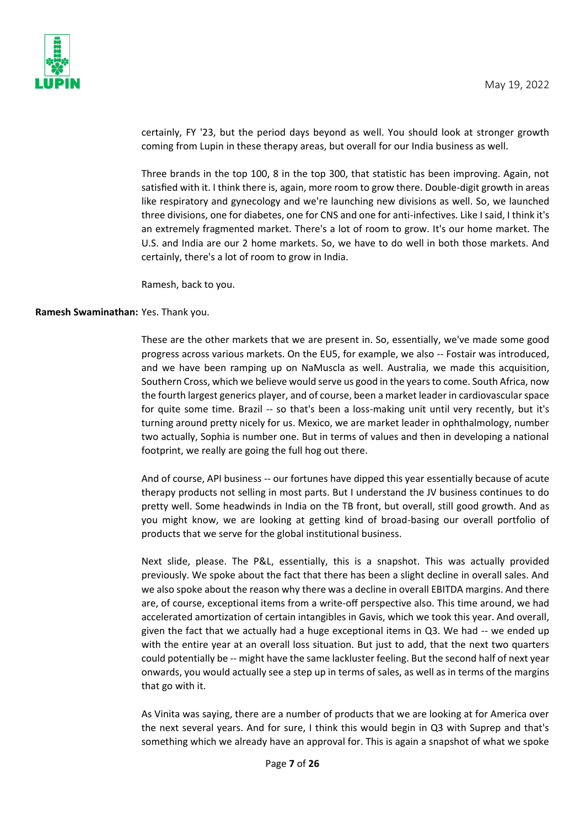

certainly, FY '23, but the period days beyond as well. You should look at stronger growth coming from Lupin in these therapy areas, but overall for our India business as well.

Three brands in the top 100, 8 in the top 300, that statistic has been improving. Again, not satisfied with it. I think there is, again, more room to grow there. Double-digit growth in areas like respiratory and gynecology and we're launching new divisions as well. So, we launched three divisions, one for diabetes, one for CNS and one for anti-infectives. Like I said, I think it's an extremely fragmented market. There's a lot of room to grow. It's our home market. The U.S. and India are our 2 home markets. So, we have to do well in both those markets. And certainly, there's a lot of room to grow in India.

Ramesh, back to you.

#### **Ramesh Swaminathan:** Yes. Thank you.

These are the other markets that we are present in. So, essentially, we've made some good progress across various markets. On the EU5, for example, we also -- Fostair was introduced, and we have been ramping up on NaMuscla as well. Australia, we made this acquisition, Southern Cross, which we believe would serve us good in the years to come. South Africa, now the fourth largest generics player, and of course, been a market leader in cardiovascular space for quite some time. Brazil -- so that's been a loss-making unit until very recently, but it's turning around pretty nicely for us. Mexico, we are market leader in ophthalmology, number two actually, Sophia is number one. But in terms of values and then in developing a national footprint, we really are going the full hog out there.

And of course, API business -- our fortunes have dipped this year essentially because of acute therapy products not selling in most parts. But I understand the JV business continues to do pretty well. Some headwinds in India on the TB front, but overall, still good growth. And as you might know, we are looking at getting kind of broad-basing our overall portfolio of products that we serve for the global institutional business.

Next slide, please. The P&L, essentially, this is a snapshot. This was actually provided previously. We spoke about the fact that there has been a slight decline in overall sales. And we also spoke about the reason why there was a decline in overall EBITDA margins. And there are, of course, exceptional items from a write-off perspective also. This time around, we had accelerated amortization of certain intangibles in Gavis, which we took this year. And overall, given the fact that we actually had a huge exceptional items in Q3. We had -- we ended up with the entire year at an overall loss situation. But just to add, that the next two quarters could potentially be -- might have the same lackluster feeling. But the second half of next year onwards, you would actually see a step up in terms of sales, as well as in terms of the margins that go with it.

As Vinita was saying, there are a number of products that we are looking at for America over the next several years. And for sure, I think this would begin in Q3 with Suprep and that's something which we already have an approval for. This is again a snapshot of what we spoke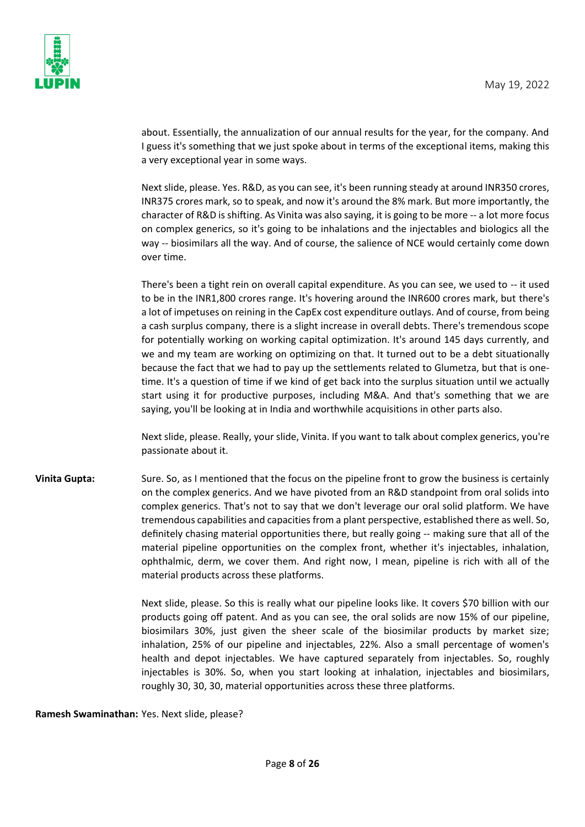

about. Essentially, the annualization of our annual results for the year, for the company. And I guess it's something that we just spoke about in terms of the exceptional items, making this a very exceptional year in some ways.

Next slide, please. Yes. R&D, as you can see, it's been running steady at around INR350 crores, INR375 crores mark, so to speak, and now it's around the 8% mark. But more importantly, the character of R&D is shifting. As Vinita was also saying, it is going to be more -- a lot more focus on complex generics, so it's going to be inhalations and the injectables and biologics all the way -- biosimilars all the way. And of course, the salience of NCE would certainly come down over time.

There's been a tight rein on overall capital expenditure. As you can see, we used to -- it used to be in the INR1,800 crores range. It's hovering around the INR600 crores mark, but there's a lot of impetuses on reining in the CapEx cost expenditure outlays. And of course, from being a cash surplus company, there is a slight increase in overall debts. There's tremendous scope for potentially working on working capital optimization. It's around 145 days currently, and we and my team are working on optimizing on that. It turned out to be a debt situationally because the fact that we had to pay up the settlements related to Glumetza, but that is onetime. It's a question of time if we kind of get back into the surplus situation until we actually start using it for productive purposes, including M&A. And that's something that we are saying, you'll be looking at in India and worthwhile acquisitions in other parts also.

Next slide, please. Really, your slide, Vinita. If you want to talk about complex generics, you're passionate about it.

**Vinita Gupta:** Sure. So, as I mentioned that the focus on the pipeline front to grow the business is certainly on the complex generics. And we have pivoted from an R&D standpoint from oral solids into complex generics. That's not to say that we don't leverage our oral solid platform. We have tremendous capabilities and capacities from a plant perspective, established there as well. So, definitely chasing material opportunities there, but really going -- making sure that all of the material pipeline opportunities on the complex front, whether it's injectables, inhalation, ophthalmic, derm, we cover them. And right now, I mean, pipeline is rich with all of the material products across these platforms.

> Next slide, please. So this is really what our pipeline looks like. It covers \$70 billion with our products going off patent. And as you can see, the oral solids are now 15% of our pipeline, biosimilars 30%, just given the sheer scale of the biosimilar products by market size; inhalation, 25% of our pipeline and injectables, 22%. Also a small percentage of women's health and depot injectables. We have captured separately from injectables. So, roughly injectables is 30%. So, when you start looking at inhalation, injectables and biosimilars, roughly 30, 30, 30, material opportunities across these three platforms.

**Ramesh Swaminathan:** Yes. Next slide, please?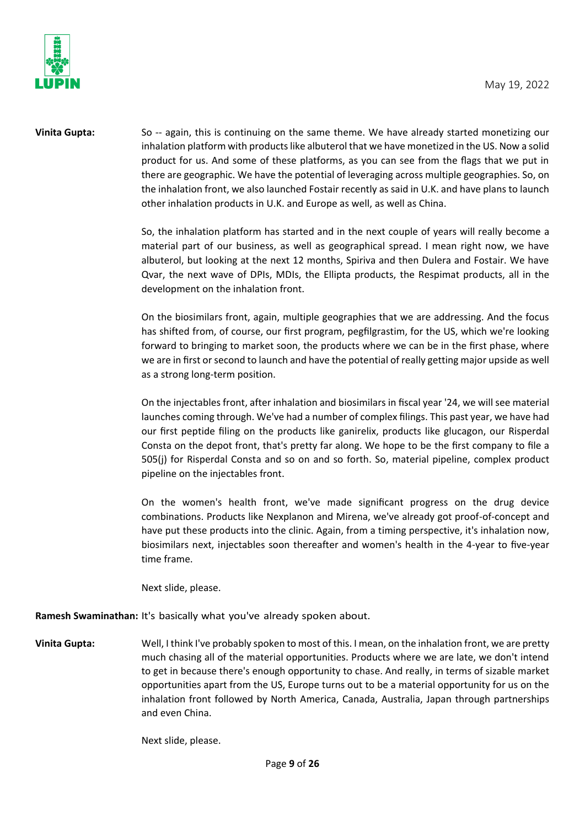

**Vinita Gupta:** So -- again, this is continuing on the same theme. We have already started monetizing our inhalation platform with products like albuterol that we have monetized in the US. Now a solid product for us. And some of these platforms, as you can see from the flags that we put in there are geographic. We have the potential of leveraging across multiple geographies. So, on the inhalation front, we also launched Fostair recently as said in U.K. and have plans to launch other inhalation products in U.K. and Europe as well, as well as China.

> So, the inhalation platform has started and in the next couple of years will really become a material part of our business, as well as geographical spread. I mean right now, we have albuterol, but looking at the next 12 months, Spiriva and then Dulera and Fostair. We have Qvar, the next wave of DPIs, MDIs, the Ellipta products, the Respimat products, all in the development on the inhalation front.

> On the biosimilars front, again, multiple geographies that we are addressing. And the focus has shifted from, of course, our first program, pegfilgrastim, for the US, which we're looking forward to bringing to market soon, the products where we can be in the first phase, where we are in first or second to launch and have the potential of really getting major upside as well as a strong long-term position.

> On the injectables front, after inhalation and biosimilars in fiscal year '24, we will see material launches coming through. We've had a number of complex filings. This past year, we have had our first peptide filing on the products like ganirelix, products like glucagon, our Risperdal Consta on the depot front, that's pretty far along. We hope to be the first company to file a 505(j) for Risperdal Consta and so on and so forth. So, material pipeline, complex product pipeline on the injectables front.

> On the women's health front, we've made significant progress on the drug device combinations. Products like Nexplanon and Mirena, we've already got proof-of-concept and have put these products into the clinic. Again, from a timing perspective, it's inhalation now, biosimilars next, injectables soon thereafter and women's health in the 4-year to five-year time frame.

Next slide, please.

**Ramesh Swaminathan:** It's basically what you've already spoken about.

**Vinita Gupta:** Well, I think I've probably spoken to most of this. I mean, on the inhalation front, we are pretty much chasing all of the material opportunities. Products where we are late, we don't intend to get in because there's enough opportunity to chase. And really, in terms of sizable market opportunities apart from the US, Europe turns out to be a material opportunity for us on the inhalation front followed by North America, Canada, Australia, Japan through partnerships and even China.

Next slide, please.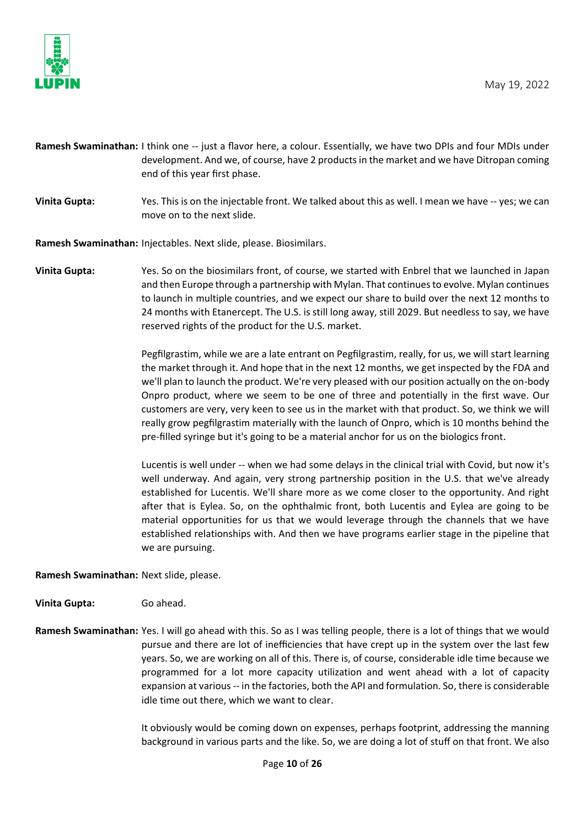

- **Ramesh Swaminathan:** I think one -- just a flavor here, a colour. Essentially, we have two DPIs and four MDIs under development. And we, of course, have 2 products in the market and we have Ditropan coming end of this year first phase.
- **Vinita Gupta:** Yes. This is on the injectable front. We talked about this as well. I mean we have -- yes; we can move on to the next slide.

**Ramesh Swaminathan:** Injectables. Next slide, please. Biosimilars.

**Vinita Gupta:** Yes. So on the biosimilars front, of course, we started with Enbrel that we launched in Japan and then Europe through a partnership with Mylan. That continues to evolve. Mylan continues to launch in multiple countries, and we expect our share to build over the next 12 months to 24 months with Etanercept. The U.S. is still long away, still 2029. But needless to say, we have reserved rights of the product for the U.S. market.

> Pegfilgrastim, while we are a late entrant on Pegfilgrastim, really, for us, we will start learning the market through it. And hope that in the next 12 months, we get inspected by the FDA and we'll plan to launch the product. We're very pleased with our position actually on the on-body Onpro product, where we seem to be one of three and potentially in the first wave. Our customers are very, very keen to see us in the market with that product. So, we think we will really grow pegfilgrastim materially with the launch of Onpro, which is 10 months behind the pre-filled syringe but it's going to be a material anchor for us on the biologics front.

> Lucentis is well under -- when we had some delays in the clinical trial with Covid, but now it's well underway. And again, very strong partnership position in the U.S. that we've already established for Lucentis. We'll share more as we come closer to the opportunity. And right after that is Eylea. So, on the ophthalmic front, both Lucentis and Eylea are going to be material opportunities for us that we would leverage through the channels that we have established relationships with. And then we have programs earlier stage in the pipeline that we are pursuing.

**Ramesh Swaminathan:** Next slide, please.

**Vinita Gupta:** Go ahead.

**Ramesh Swaminathan:** Yes. I will go ahead with this. So as I was telling people, there is a lot of things that we would pursue and there are lot of inefficiencies that have crept up in the system over the last few years. So, we are working on all of this. There is, of course, considerable idle time because we programmed for a lot more capacity utilization and went ahead with a lot of capacity expansion at various -- in the factories, both the API and formulation. So, there is considerable idle time out there, which we want to clear.

> It obviously would be coming down on expenses, perhaps footprint, addressing the manning background in various parts and the like. So, we are doing a lot of stuff on that front. We also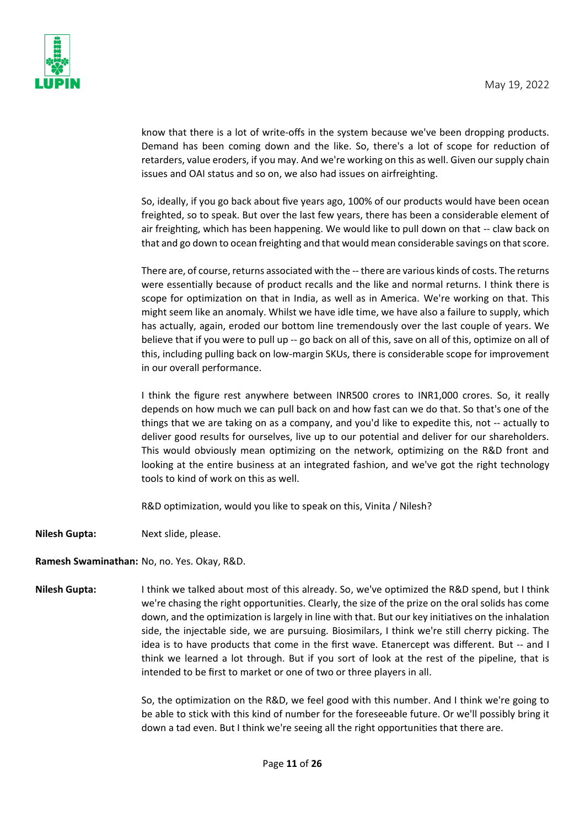

know that there is a lot of write-offs in the system because we've been dropping products. Demand has been coming down and the like. So, there's a lot of scope for reduction of retarders, value eroders, if you may. And we're working on this as well. Given our supply chain issues and OAI status and so on, we also had issues on airfreighting.

So, ideally, if you go back about five years ago, 100% of our products would have been ocean freighted, so to speak. But over the last few years, there has been a considerable element of air freighting, which has been happening. We would like to pull down on that -- claw back on that and go down to ocean freighting and that would mean considerable savings on that score.

There are, of course, returns associated with the -- there are various kinds of costs. The returns were essentially because of product recalls and the like and normal returns. I think there is scope for optimization on that in India, as well as in America. We're working on that. This might seem like an anomaly. Whilst we have idle time, we have also a failure to supply, which has actually, again, eroded our bottom line tremendously over the last couple of years. We believe that if you were to pull up -- go back on all of this, save on all of this, optimize on all of this, including pulling back on low-margin SKUs, there is considerable scope for improvement in our overall performance.

I think the figure rest anywhere between INR500 crores to INR1,000 crores. So, it really depends on how much we can pull back on and how fast can we do that. So that's one of the things that we are taking on as a company, and you'd like to expedite this, not -- actually to deliver good results for ourselves, live up to our potential and deliver for our shareholders. This would obviously mean optimizing on the network, optimizing on the R&D front and looking at the entire business at an integrated fashion, and we've got the right technology tools to kind of work on this as well.

R&D optimization, would you like to speak on this, Vinita / Nilesh?

**Nilesh Gupta:** Next slide, please.

**Ramesh Swaminathan:** No, no. Yes. Okay, R&D.

**Nilesh Gupta:** I think we talked about most of this already. So, we've optimized the R&D spend, but I think we're chasing the right opportunities. Clearly, the size of the prize on the oral solids has come down, and the optimization is largely in line with that. But our key initiatives on the inhalation side, the injectable side, we are pursuing. Biosimilars, I think we're still cherry picking. The idea is to have products that come in the first wave. Etanercept was different. But -- and I think we learned a lot through. But if you sort of look at the rest of the pipeline, that is intended to be first to market or one of two or three players in all.

> So, the optimization on the R&D, we feel good with this number. And I think we're going to be able to stick with this kind of number for the foreseeable future. Or we'll possibly bring it down a tad even. But I think we're seeing all the right opportunities that there are.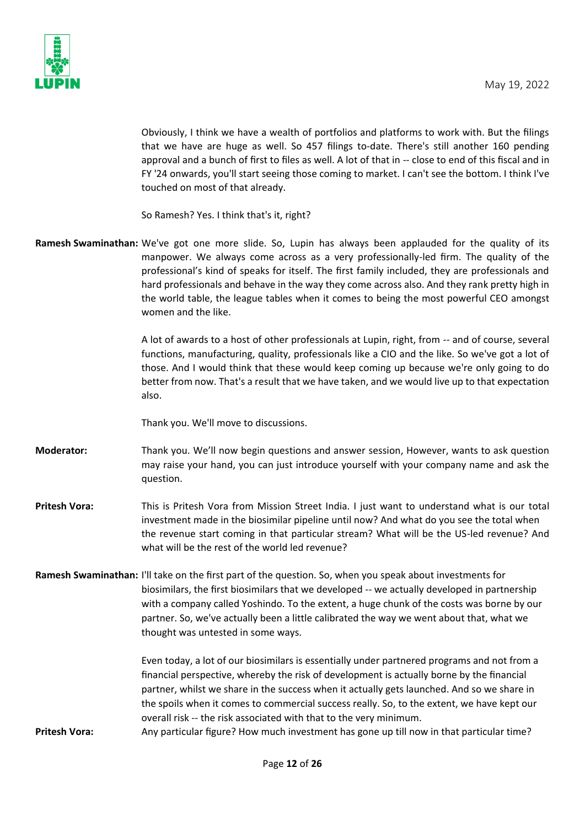

Obviously, I think we have a wealth of portfolios and platforms to work with. But the filings that we have are huge as well. So 457 filings to-date. There's still another 160 pending approval and a bunch of first to files as well. A lot of that in -- close to end of this fiscal and in FY '24 onwards, you'll start seeing those coming to market. I can't see the bottom. I think I've touched on most of that already.

So Ramesh? Yes. I think that's it, right?

**Ramesh Swaminathan:** We've got one more slide. So, Lupin has always been applauded for the quality of its manpower. We always come across as a very professionally-led firm. The quality of the professional's kind of speaks for itself. The first family included, they are professionals and hard professionals and behave in the way they come across also. And they rank pretty high in the world table, the league tables when it comes to being the most powerful CEO amongst women and the like.

> A lot of awards to a host of other professionals at Lupin, right, from -- and of course, several functions, manufacturing, quality, professionals like a CIO and the like. So we've got a lot of those. And I would think that these would keep coming up because we're only going to do better from now. That's a result that we have taken, and we would live up to that expectation also.

Thank you. We'll move to discussions.

- **Moderator:** Thank you. We'll now begin questions and answer session, However, wants to ask question may raise your hand, you can just introduce yourself with your company name and ask the question.
- **Pritesh Vora:** This is Pritesh Vora from Mission Street India. I just want to understand what is our total investment made in the biosimilar pipeline until now? And what do you see the total when the revenue start coming in that particular stream? What will be the US-led revenue? And what will be the rest of the world led revenue?
- **Ramesh Swaminathan:** I'll take on the first part of the question. So, when you speak about investments for biosimilars, the first biosimilars that we developed -- we actually developed in partnership with a company called Yoshindo. To the extent, a huge chunk of the costs was borne by our partner. So, we've actually been a little calibrated the way we went about that, what we thought was untested in some ways.

Even today, a lot of our biosimilars is essentially under partnered programs and not from a financial perspective, whereby the risk of development is actually borne by the financial partner, whilst we share in the success when it actually gets launched. And so we share in the spoils when it comes to commercial success really. So, to the extent, we have kept our overall risk -- the risk associated with that to the very minimum.

**Pritesh Vora:** Any particular figure? How much investment has gone up till now in that particular time?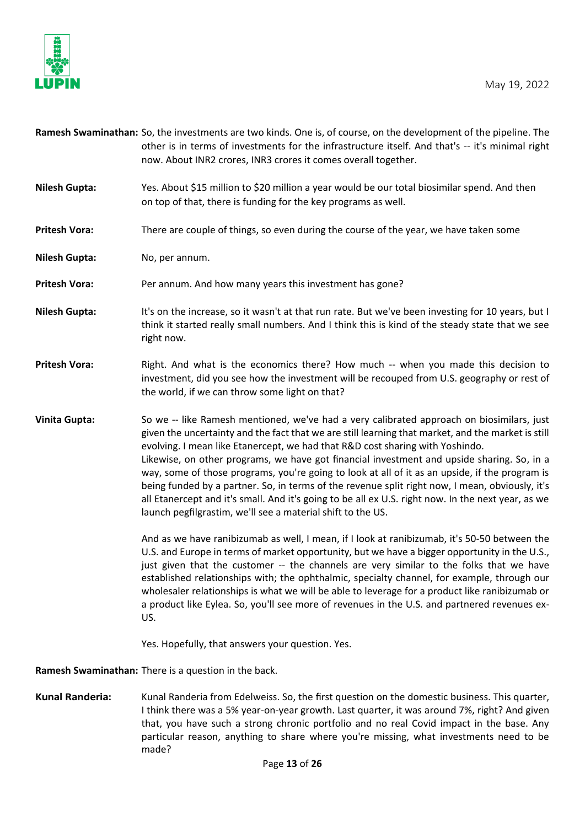



|                      | Ramesh Swaminathan: So, the investments are two kinds. One is, of course, on the development of the pipeline. The<br>other is in terms of investments for the infrastructure itself. And that's -- it's minimal right<br>now. About INR2 crores, INR3 crores it comes overall together.                                                                                                                                                                                                                                                                                                                                                                                                                                                                  |
|----------------------|----------------------------------------------------------------------------------------------------------------------------------------------------------------------------------------------------------------------------------------------------------------------------------------------------------------------------------------------------------------------------------------------------------------------------------------------------------------------------------------------------------------------------------------------------------------------------------------------------------------------------------------------------------------------------------------------------------------------------------------------------------|
| <b>Nilesh Gupta:</b> | Yes. About \$15 million to \$20 million a year would be our total biosimilar spend. And then<br>on top of that, there is funding for the key programs as well.                                                                                                                                                                                                                                                                                                                                                                                                                                                                                                                                                                                           |
| <b>Pritesh Vora:</b> | There are couple of things, so even during the course of the year, we have taken some                                                                                                                                                                                                                                                                                                                                                                                                                                                                                                                                                                                                                                                                    |
| <b>Nilesh Gupta:</b> | No, per annum.                                                                                                                                                                                                                                                                                                                                                                                                                                                                                                                                                                                                                                                                                                                                           |
| <b>Pritesh Vora:</b> | Per annum. And how many years this investment has gone?                                                                                                                                                                                                                                                                                                                                                                                                                                                                                                                                                                                                                                                                                                  |
| <b>Nilesh Gupta:</b> | It's on the increase, so it wasn't at that run rate. But we've been investing for 10 years, but I<br>think it started really small numbers. And I think this is kind of the steady state that we see<br>right now.                                                                                                                                                                                                                                                                                                                                                                                                                                                                                                                                       |
| <b>Pritesh Vora:</b> | Right. And what is the economics there? How much -- when you made this decision to<br>investment, did you see how the investment will be recouped from U.S. geography or rest of<br>the world, if we can throw some light on that?                                                                                                                                                                                                                                                                                                                                                                                                                                                                                                                       |
| <b>Vinita Gupta:</b> | So we -- like Ramesh mentioned, we've had a very calibrated approach on biosimilars, just<br>given the uncertainty and the fact that we are still learning that market, and the market is still<br>evolving. I mean like Etanercept, we had that R&D cost sharing with Yoshindo.<br>Likewise, on other programs, we have got financial investment and upside sharing. So, in a<br>way, some of those programs, you're going to look at all of it as an upside, if the program is<br>being funded by a partner. So, in terms of the revenue split right now, I mean, obviously, it's<br>all Etanercept and it's small. And it's going to be all ex U.S. right now. In the next year, as we<br>launch pegfilgrastim, we'll see a material shift to the US. |
|                      | And as we have ranibizumab as well, I mean, if I look at ranibizumab, it's 50-50 between the<br>U.S. and Europe in terms of market opportunity, but we have a bigger opportunity in the U.S.,<br>just given that the customer -- the channels are very similar to the folks that we have<br>established relationships with; the ophthalmic, specialty channel, for example, through our<br>wholesaler relationships is what we will be able to leverage for a product like ranibizumab or<br>a product like Eylea. So, you'll see more of revenues in the U.S. and partnered revenues ex-<br>US.                                                                                                                                                         |
|                      | Yes. Hopefully, that answers your question. Yes.                                                                                                                                                                                                                                                                                                                                                                                                                                                                                                                                                                                                                                                                                                         |
|                      | Ramesh Swaminathan: There is a question in the back.                                                                                                                                                                                                                                                                                                                                                                                                                                                                                                                                                                                                                                                                                                     |

**Kunal Randeria:** Kunal Randeria from Edelweiss. So, the first question on the domestic business. This quarter, I think there was a 5% year-on-year growth. Last quarter, it was around 7%, right? And given that, you have such a strong chronic portfolio and no real Covid impact in the base. Any particular reason, anything to share where you're missing, what investments need to be made?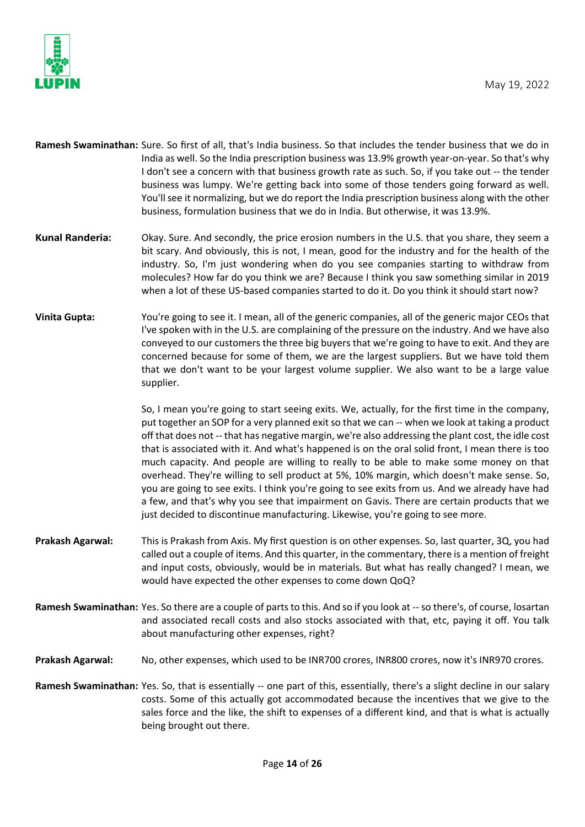

- **Ramesh Swaminathan:** Sure. So first of all, that's India business. So that includes the tender business that we do in India as well. So the India prescription business was 13.9% growth year-on-year. So that's why I don't see a concern with that business growth rate as such. So, if you take out -- the tender business was lumpy. We're getting back into some of those tenders going forward as well. You'll see it normalizing, but we do report the India prescription business along with the other business, formulation business that we do in India. But otherwise, it was 13.9%.
- **Kunal Randeria:** Okay. Sure. And secondly, the price erosion numbers in the U.S. that you share, they seem a bit scary. And obviously, this is not, I mean, good for the industry and for the health of the industry. So, I'm just wondering when do you see companies starting to withdraw from molecules? How far do you think we are? Because I think you saw something similar in 2019 when a lot of these US-based companies started to do it. Do you think it should start now?
- **Vinita Gupta:** You're going to see it. I mean, all of the generic companies, all of the generic major CEOs that I've spoken with in the U.S. are complaining of the pressure on the industry. And we have also conveyed to our customers the three big buyers that we're going to have to exit. And they are concerned because for some of them, we are the largest suppliers. But we have told them that we don't want to be your largest volume supplier. We also want to be a large value supplier.

So, I mean you're going to start seeing exits. We, actually, for the first time in the company, put together an SOP for a very planned exit so that we can -- when we look at taking a product off that does not -- that has negative margin, we're also addressing the plant cost, the idle cost that is associated with it. And what's happened is on the oral solid front, I mean there is too much capacity. And people are willing to really to be able to make some money on that overhead. They're willing to sell product at 5%, 10% margin, which doesn't make sense. So, you are going to see exits. I think you're going to see exits from us. And we already have had a few, and that's why you see that impairment on Gavis. There are certain products that we just decided to discontinue manufacturing. Likewise, you're going to see more.

- **Prakash Agarwal:** This is Prakash from Axis. My first question is on other expenses. So, last quarter, 3Q, you had called out a couple of items. And this quarter, in the commentary, there is a mention of freight and input costs, obviously, would be in materials. But what has really changed? I mean, we would have expected the other expenses to come down QoQ?
- **Ramesh Swaminathan:** Yes. So there are a couple of parts to this. And so if you look at --so there's, of course, losartan and associated recall costs and also stocks associated with that, etc, paying it off. You talk about manufacturing other expenses, right?
- **Prakash Agarwal:** No, other expenses, which used to be INR700 crores, INR800 crores, now it's INR970 crores.
- **Ramesh Swaminathan:** Yes. So, that is essentially -- one part of this, essentially, there's a slight decline in our salary costs. Some of this actually got accommodated because the incentives that we give to the sales force and the like, the shift to expenses of a different kind, and that is what is actually being brought out there.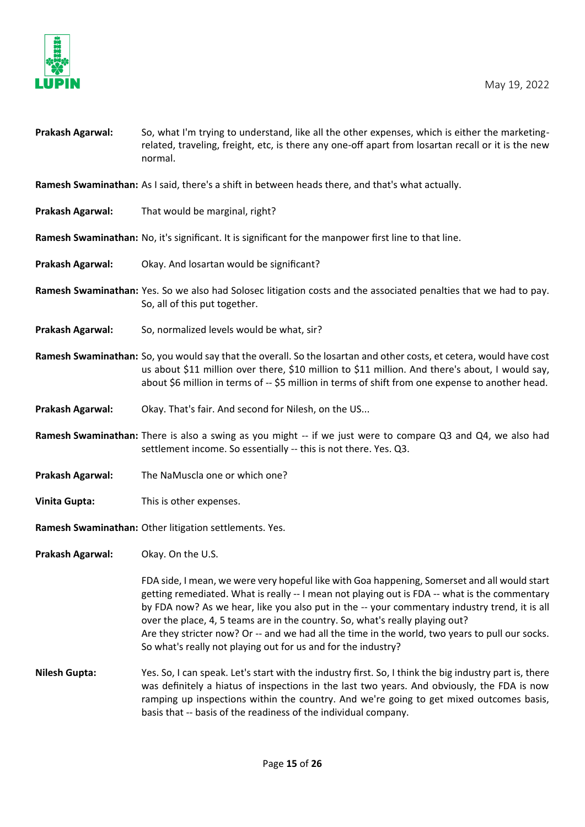

| Prakash Agarwal: | So, what I'm trying to understand, like all the other expenses, which is either the marketing-     |
|------------------|----------------------------------------------------------------------------------------------------|
|                  | related, traveling, freight, etc, is there any one-off apart from losartan recall or it is the new |
|                  | normal.                                                                                            |

**Ramesh Swaminathan:** As I said, there's a shift in between heads there, and that's what actually.

- **Prakash Agarwal:** That would be marginal, right?
- **Ramesh Swaminathan:** No, it's significant. It is significant for the manpower first line to that line.
- **Prakash Agarwal:** Okay. And losartan would be significant?
- **Ramesh Swaminathan:** Yes. So we also had Solosec litigation costs and the associated penalties that we had to pay. So, all of this put together.
- **Prakash Agarwal:** So, normalized levels would be what, sir?
- **Ramesh Swaminathan:** So, you would say that the overall. So the losartan and other costs, et cetera, would have cost us about \$11 million over there, \$10 million to \$11 million. And there's about, I would say, about \$6 million in terms of -- \$5 million in terms of shift from one expense to another head.
- **Prakash Agarwal:** Okay. That's fair. And second for Nilesh, on the US...
- **Ramesh Swaminathan:** There is also a swing as you might -- if we just were to compare Q3 and Q4, we also had settlement income. So essentially -- this is not there. Yes. Q3.
- **Prakash Agarwal:** The NaMuscla one or which one?
- **Vinita Gupta:** This is other expenses.

**Ramesh Swaminathan:** Other litigation settlements. Yes.

**Prakash Agarwal:** Okay. On the U.S.

FDA side, I mean, we were very hopeful like with Goa happening, Somerset and all would start getting remediated. What is really -- I mean not playing out is FDA -- what is the commentary by FDA now? As we hear, like you also put in the -- your commentary industry trend, it is all over the place, 4, 5 teams are in the country. So, what's really playing out? Are they stricter now? Or -- and we had all the time in the world, two years to pull our socks. So what's really not playing out for us and for the industry?

**Nilesh Gupta:** Yes. So, I can speak. Let's start with the industry first. So, I think the big industry part is, there was definitely a hiatus of inspections in the last two years. And obviously, the FDA is now ramping up inspections within the country. And we're going to get mixed outcomes basis, basis that -- basis of the readiness of the individual company.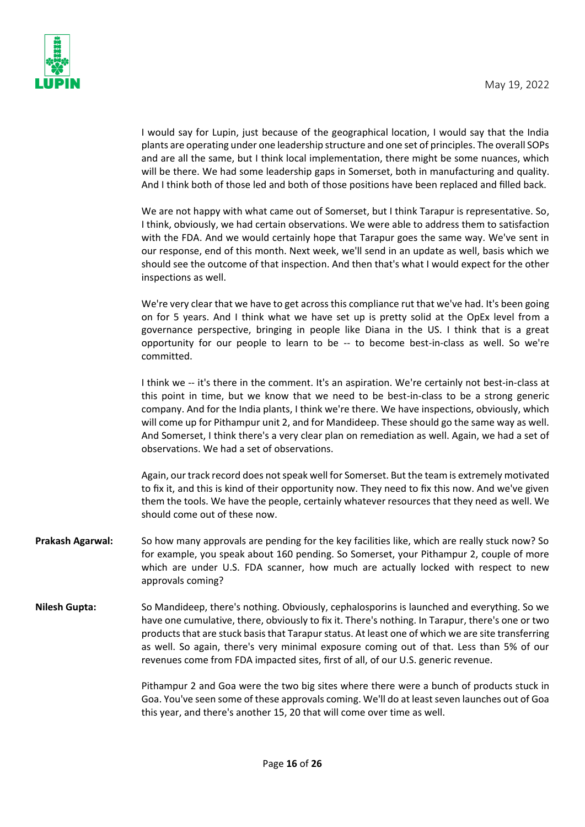

I would say for Lupin, just because of the geographical location, I would say that the India plants are operating under one leadership structure and one set of principles. The overall SOPs and are all the same, but I think local implementation, there might be some nuances, which will be there. We had some leadership gaps in Somerset, both in manufacturing and quality. And I think both of those led and both of those positions have been replaced and filled back.

We are not happy with what came out of Somerset, but I think Tarapur is representative. So, I think, obviously, we had certain observations. We were able to address them to satisfaction with the FDA. And we would certainly hope that Tarapur goes the same way. We've sent in our response, end of this month. Next week, we'll send in an update as well, basis which we should see the outcome of that inspection. And then that's what I would expect for the other inspections as well.

We're very clear that we have to get across this compliance rut that we've had. It's been going on for 5 years. And I think what we have set up is pretty solid at the OpEx level from a governance perspective, bringing in people like Diana in the US. I think that is a great opportunity for our people to learn to be -- to become best-in-class as well. So we're committed.

I think we -- it's there in the comment. It's an aspiration. We're certainly not best-in-class at this point in time, but we know that we need to be best-in-class to be a strong generic company. And for the India plants, I think we're there. We have inspections, obviously, which will come up for Pithampur unit 2, and for Mandideep. These should go the same way as well. And Somerset, I think there's a very clear plan on remediation as well. Again, we had a set of observations. We had a set of observations.

Again, our track record does not speak well for Somerset. But the team is extremely motivated to fix it, and this is kind of their opportunity now. They need to fix this now. And we've given them the tools. We have the people, certainly whatever resources that they need as well. We should come out of these now.

- **Prakash Agarwal:** So how many approvals are pending for the key facilities like, which are really stuck now? So for example, you speak about 160 pending. So Somerset, your Pithampur 2, couple of more which are under U.S. FDA scanner, how much are actually locked with respect to new approvals coming?
- **Nilesh Gupta:** So Mandideep, there's nothing. Obviously, cephalosporins is launched and everything. So we have one cumulative, there, obviously to fix it. There's nothing. In Tarapur, there's one or two products that are stuck basis that Tarapur status. At least one of which we are site transferring as well. So again, there's very minimal exposure coming out of that. Less than 5% of our revenues come from FDA impacted sites, first of all, of our U.S. generic revenue.

Pithampur 2 and Goa were the two big sites where there were a bunch of products stuck in Goa. You've seen some of these approvals coming. We'll do at least seven launches out of Goa this year, and there's another 15, 20 that will come over time as well.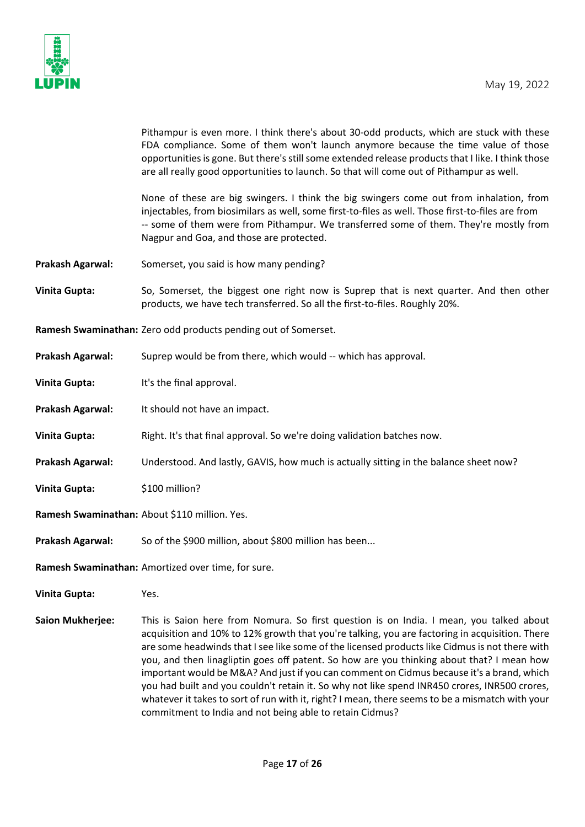

Pithampur is even more. I think there's about 30-odd products, which are stuck with these FDA compliance. Some of them won't launch anymore because the time value of those opportunities is gone. But there's still some extended release products that I like. I think those are all really good opportunities to launch. So that will come out of Pithampur as well.

None of these are big swingers. I think the big swingers come out from inhalation, from injectables, from biosimilars as well, some first-to-files as well. Those first-to-files are from -- some of them were from Pithampur. We transferred some of them. They're mostly from Nagpur and Goa, and those are protected.

- **Prakash Agarwal:** Somerset, you said is how many pending?
- **Vinita Gupta:** So, Somerset, the biggest one right now is Suprep that is next quarter. And then other products, we have tech transferred. So all the first-to-files. Roughly 20%.
- **Ramesh Swaminathan:** Zero odd products pending out of Somerset.
- **Prakash Agarwal:** Suprep would be from there, which would -- which has approval.
- **Vinita Gupta:** It's the final approval.
- **Prakash Agarwal:** It should not have an impact.
- **Vinita Gupta:** Right. It's that final approval. So we're doing validation batches now.
- **Prakash Agarwal:** Understood. And lastly, GAVIS, how much is actually sitting in the balance sheet now?
- **Vinita Gupta:** \$100 million?
- **Ramesh Swaminathan:** About \$110 million. Yes.
- **Prakash Agarwal:** So of the \$900 million, about \$800 million has been...

**Ramesh Swaminathan:** Amortized over time, for sure.

- **Vinita Gupta:** Yes.
- **Saion Mukherjee:** This is Saion here from Nomura. So first question is on India. I mean, you talked about acquisition and 10% to 12% growth that you're talking, you are factoring in acquisition. There are some headwinds that I see like some of the licensed products like Cidmus is not there with you, and then linagliptin goes off patent. So how are you thinking about that? I mean how important would be M&A? And just if you can comment on Cidmus because it's a brand, which you had built and you couldn't retain it. So why not like spend INR450 crores, INR500 crores, whatever it takes to sort of run with it, right? I mean, there seems to be a mismatch with your commitment to India and not being able to retain Cidmus?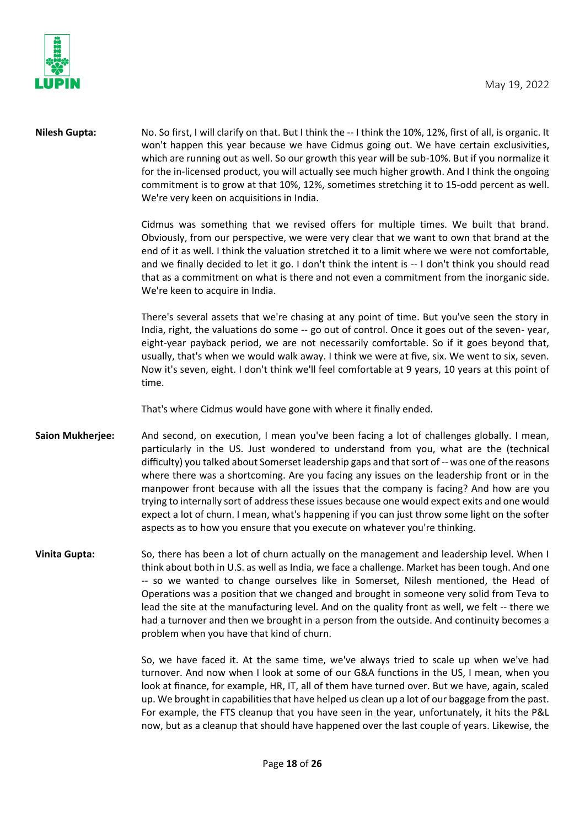

**Nilesh Gupta:** No. So first, I will clarify on that. But I think the -- I think the 10%, 12%, first of all, is organic. It won't happen this year because we have Cidmus going out. We have certain exclusivities, which are running out as well. So our growth this year will be sub-10%. But if you normalize it for the in-licensed product, you will actually see much higher growth. And I think the ongoing commitment is to grow at that 10%, 12%, sometimes stretching it to 15-odd percent as well. We're very keen on acquisitions in India.

> Cidmus was something that we revised offers for multiple times. We built that brand. Obviously, from our perspective, we were very clear that we want to own that brand at the end of it as well. I think the valuation stretched it to a limit where we were not comfortable, and we finally decided to let it go. I don't think the intent is -- I don't think you should read that as a commitment on what is there and not even a commitment from the inorganic side. We're keen to acquire in India.

> There's several assets that we're chasing at any point of time. But you've seen the story in India, right, the valuations do some -- go out of control. Once it goes out of the seven- year, eight-year payback period, we are not necessarily comfortable. So if it goes beyond that, usually, that's when we would walk away. I think we were at five, six. We went to six, seven. Now it's seven, eight. I don't think we'll feel comfortable at 9 years, 10 years at this point of time.

That's where Cidmus would have gone with where it finally ended.

- **Saion Mukherjee:** And second, on execution, I mean you've been facing a lot of challenges globally. I mean, particularly in the US. Just wondered to understand from you, what are the (technical difficulty) you talked about Somerset leadership gaps and that sort of -- was one of the reasons where there was a shortcoming. Are you facing any issues on the leadership front or in the manpower front because with all the issues that the company is facing? And how are you trying to internally sort of address these issues because one would expect exits and one would expect a lot of churn. I mean, what's happening if you can just throw some light on the softer aspects as to how you ensure that you execute on whatever you're thinking.
- **Vinita Gupta:** So, there has been a lot of churn actually on the management and leadership level. When I think about both in U.S. as well as India, we face a challenge. Market has been tough. And one -- so we wanted to change ourselves like in Somerset, Nilesh mentioned, the Head of Operations was a position that we changed and brought in someone very solid from Teva to lead the site at the manufacturing level. And on the quality front as well, we felt -- there we had a turnover and then we brought in a person from the outside. And continuity becomes a problem when you have that kind of churn.

So, we have faced it. At the same time, we've always tried to scale up when we've had turnover. And now when I look at some of our G&A functions in the US, I mean, when you look at finance, for example, HR, IT, all of them have turned over. But we have, again, scaled up. We brought in capabilities that have helped us clean up a lot of our baggage from the past. For example, the FTS cleanup that you have seen in the year, unfortunately, it hits the P&L now, but as a cleanup that should have happened over the last couple of years. Likewise, the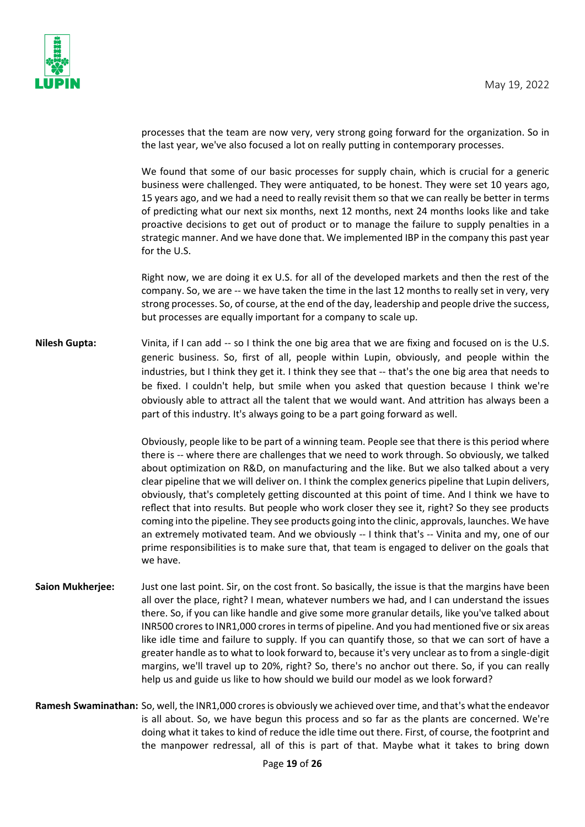

processes that the team are now very, very strong going forward for the organization. So in the last year, we've also focused a lot on really putting in contemporary processes.

We found that some of our basic processes for supply chain, which is crucial for a generic business were challenged. They were antiquated, to be honest. They were set 10 years ago, 15 years ago, and we had a need to really revisit them so that we can really be better in terms of predicting what our next six months, next 12 months, next 24 months looks like and take proactive decisions to get out of product or to manage the failure to supply penalties in a strategic manner. And we have done that. We implemented IBP in the company this past year for the U.S.

Right now, we are doing it ex U.S. for all of the developed markets and then the rest of the company. So, we are -- we have taken the time in the last 12 months to really set in very, very strong processes. So, of course, at the end of the day, leadership and people drive the success, but processes are equally important for a company to scale up.

**Nilesh Gupta:** Vinita, if I can add -- so I think the one big area that we are fixing and focused on is the U.S. generic business. So, first of all, people within Lupin, obviously, and people within the industries, but I think they get it. I think they see that -- that's the one big area that needs to be fixed. I couldn't help, but smile when you asked that question because I think we're obviously able to attract all the talent that we would want. And attrition has always been a part of this industry. It's always going to be a part going forward as well.

> Obviously, people like to be part of a winning team. People see that there is this period where there is -- where there are challenges that we need to work through. So obviously, we talked about optimization on R&D, on manufacturing and the like. But we also talked about a very clear pipeline that we will deliver on. I think the complex generics pipeline that Lupin delivers, obviously, that's completely getting discounted at this point of time. And I think we have to reflect that into results. But people who work closer they see it, right? So they see products coming into the pipeline. They see products going into the clinic, approvals, launches. We have an extremely motivated team. And we obviously -- I think that's -- Vinita and my, one of our prime responsibilities is to make sure that, that team is engaged to deliver on the goals that we have.

- **Saion Mukherjee:** Just one last point. Sir, on the cost front. So basically, the issue is that the margins have been all over the place, right? I mean, whatever numbers we had, and I can understand the issues there. So, if you can like handle and give some more granular details, like you've talked about INR500 crores to INR1,000 crores in terms of pipeline. And you had mentioned five or six areas like idle time and failure to supply. If you can quantify those, so that we can sort of have a greater handle as to what to look forward to, because it's very unclear as to from a single-digit margins, we'll travel up to 20%, right? So, there's no anchor out there. So, if you can really help us and guide us like to how should we build our model as we look forward?
- **Ramesh Swaminathan:** So, well, the INR1,000 crores is obviously we achieved over time, and that's what the endeavor is all about. So, we have begun this process and so far as the plants are concerned. We're doing what it takes to kind of reduce the idle time out there. First, of course, the footprint and the manpower redressal, all of this is part of that. Maybe what it takes to bring down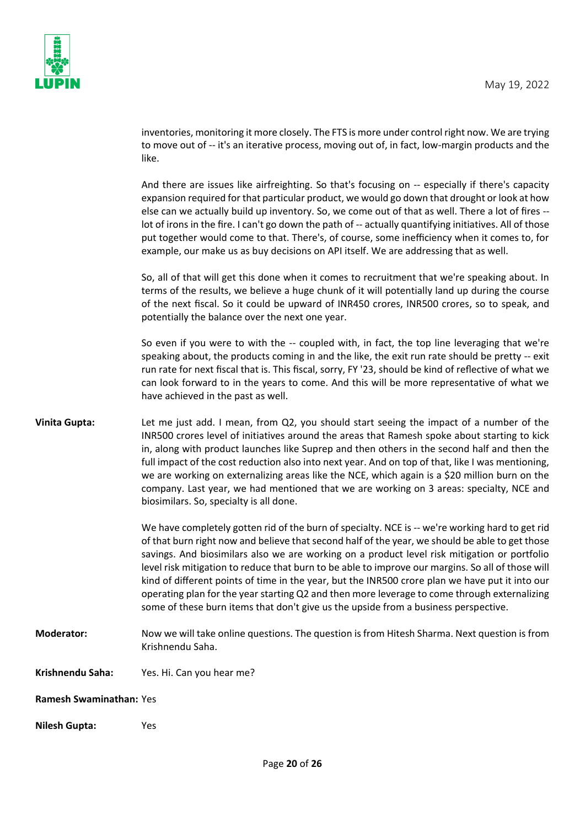

inventories, monitoring it more closely. The FTS is more under control right now. We are trying to move out of -- it's an iterative process, moving out of, in fact, low-margin products and the like.

And there are issues like airfreighting. So that's focusing on -- especially if there's capacity expansion required for that particular product, we would go down that drought or look at how else can we actually build up inventory. So, we come out of that as well. There a lot of fires - lot of irons in the fire. I can't go down the path of -- actually quantifying initiatives. All of those put together would come to that. There's, of course, some inefficiency when it comes to, for example, our make us as buy decisions on API itself. We are addressing that as well.

So, all of that will get this done when it comes to recruitment that we're speaking about. In terms of the results, we believe a huge chunk of it will potentially land up during the course of the next fiscal. So it could be upward of INR450 crores, INR500 crores, so to speak, and potentially the balance over the next one year.

So even if you were to with the -- coupled with, in fact, the top line leveraging that we're speaking about, the products coming in and the like, the exit run rate should be pretty -- exit run rate for next fiscal that is. This fiscal, sorry, FY '23, should be kind of reflective of what we can look forward to in the years to come. And this will be more representative of what we have achieved in the past as well.

**Vinita Gupta:** Let me just add. I mean, from Q2, you should start seeing the impact of a number of the INR500 crores level of initiatives around the areas that Ramesh spoke about starting to kick in, along with product launches like Suprep and then others in the second half and then the full impact of the cost reduction also into next year. And on top of that, like I was mentioning, we are working on externalizing areas like the NCE, which again is a \$20 million burn on the company. Last year, we had mentioned that we are working on 3 areas: specialty, NCE and biosimilars. So, specialty is all done.

> We have completely gotten rid of the burn of specialty. NCE is -- we're working hard to get rid of that burn right now and believe that second half of the year, we should be able to get those savings. And biosimilars also we are working on a product level risk mitigation or portfolio level risk mitigation to reduce that burn to be able to improve our margins. So all of those will kind of different points of time in the year, but the INR500 crore plan we have put it into our operating plan for the year starting Q2 and then more leverage to come through externalizing some of these burn items that don't give us the upside from a business perspective.

- **Moderator:** Now we will take online questions. The question is from Hitesh Sharma. Next question is from Krishnendu Saha.
- **Krishnendu Saha:** Yes. Hi. Can you hear me?
- **Ramesh Swaminathan:** Yes
- **Nilesh Gupta:** Yes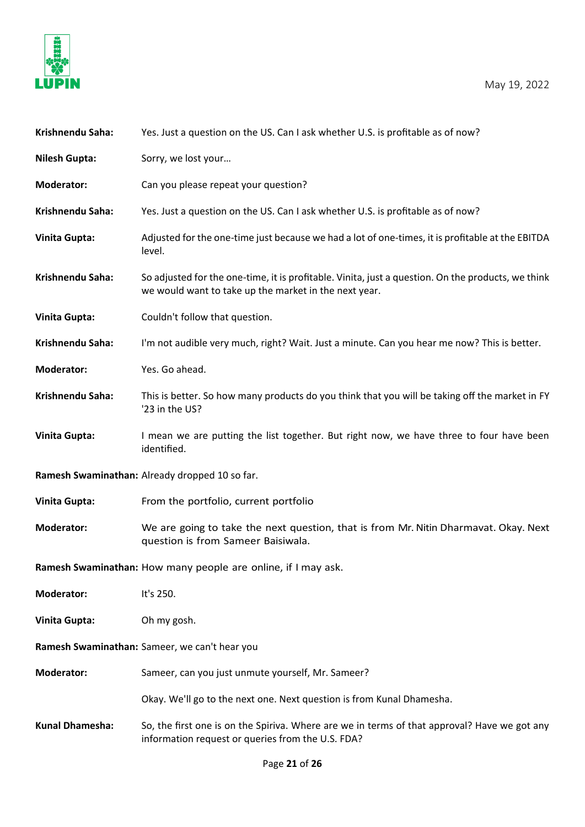

| Krishnendu Saha:                              | Yes. Just a question on the US. Can I ask whether U.S. is profitable as of now?                                                                             |
|-----------------------------------------------|-------------------------------------------------------------------------------------------------------------------------------------------------------------|
| <b>Nilesh Gupta:</b>                          | Sorry, we lost your                                                                                                                                         |
| <b>Moderator:</b>                             | Can you please repeat your question?                                                                                                                        |
| Krishnendu Saha:                              | Yes. Just a question on the US. Can I ask whether U.S. is profitable as of now?                                                                             |
| <b>Vinita Gupta:</b>                          | Adjusted for the one-time just because we had a lot of one-times, it is profitable at the EBITDA<br>level.                                                  |
| Krishnendu Saha:                              | So adjusted for the one-time, it is profitable. Vinita, just a question. On the products, we think<br>we would want to take up the market in the next year. |
| <b>Vinita Gupta:</b>                          | Couldn't follow that question.                                                                                                                              |
| Krishnendu Saha:                              | I'm not audible very much, right? Wait. Just a minute. Can you hear me now? This is better.                                                                 |
| <b>Moderator:</b>                             | Yes. Go ahead.                                                                                                                                              |
| Krishnendu Saha:                              | This is better. So how many products do you think that you will be taking off the market in FY<br>'23 in the US?                                            |
| <b>Vinita Gupta:</b>                          | I mean we are putting the list together. But right now, we have three to four have been<br>identified.                                                      |
|                                               | Ramesh Swaminathan: Already dropped 10 so far.                                                                                                              |
| <b>Vinita Gupta:</b>                          | From the portfolio, current portfolio                                                                                                                       |
| <b>Moderator:</b>                             | We are going to take the next question, that is from Mr. Nitin Dharmavat. Okay. Next<br>question is from Sameer Baisiwala.                                  |
|                                               | Ramesh Swaminathan: How many people are online, if I may ask.                                                                                               |
| <b>Moderator:</b>                             | It's 250.                                                                                                                                                   |
| <b>Vinita Gupta:</b>                          | Oh my gosh.                                                                                                                                                 |
| Ramesh Swaminathan: Sameer, we can't hear you |                                                                                                                                                             |
| <b>Moderator:</b>                             | Sameer, can you just unmute yourself, Mr. Sameer?                                                                                                           |
|                                               | Okay. We'll go to the next one. Next question is from Kunal Dhamesha.                                                                                       |
| <b>Kunal Dhamesha:</b>                        | So, the first one is on the Spiriva. Where are we in terms of that approval? Have we got any<br>information request or queries from the U.S. FDA?           |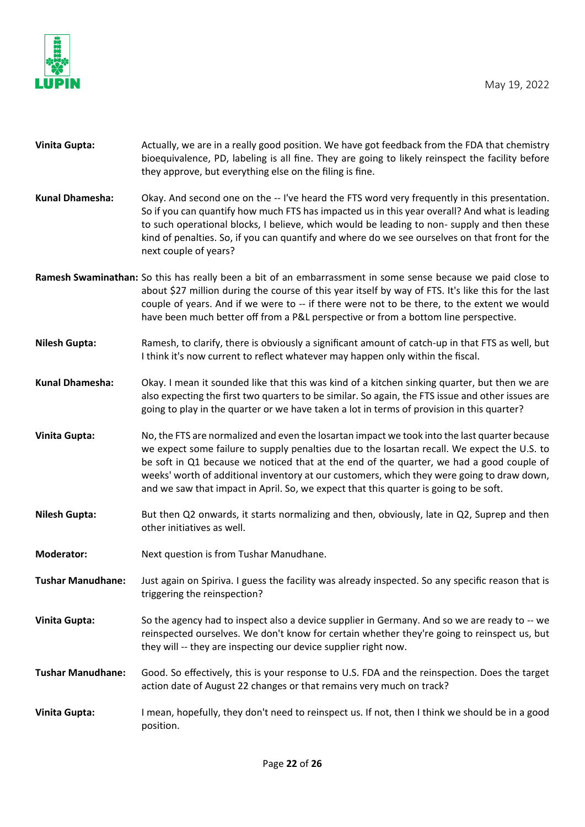



| <b>Vinita Gupta:</b>     | Actually, we are in a really good position. We have got feedback from the FDA that chemistry<br>bioequivalence, PD, labeling is all fine. They are going to likely reinspect the facility before<br>they approve, but everything else on the filing is fine.                                                                                                                                                                                                                     |
|--------------------------|----------------------------------------------------------------------------------------------------------------------------------------------------------------------------------------------------------------------------------------------------------------------------------------------------------------------------------------------------------------------------------------------------------------------------------------------------------------------------------|
| Kunal Dhamesha:          | Okay. And second one on the -- I've heard the FTS word very frequently in this presentation.<br>So if you can quantify how much FTS has impacted us in this year overall? And what is leading<br>to such operational blocks, I believe, which would be leading to non- supply and then these<br>kind of penalties. So, if you can quantify and where do we see ourselves on that front for the<br>next couple of years?                                                          |
|                          | Ramesh Swaminathan: So this has really been a bit of an embarrassment in some sense because we paid close to<br>about \$27 million during the course of this year itself by way of FTS. It's like this for the last<br>couple of years. And if we were to -- if there were not to be there, to the extent we would<br>have been much better off from a P&L perspective or from a bottom line perspective.                                                                        |
| <b>Nilesh Gupta:</b>     | Ramesh, to clarify, there is obviously a significant amount of catch-up in that FTS as well, but<br>I think it's now current to reflect whatever may happen only within the fiscal.                                                                                                                                                                                                                                                                                              |
| Kunal Dhamesha:          | Okay. I mean it sounded like that this was kind of a kitchen sinking quarter, but then we are<br>also expecting the first two quarters to be similar. So again, the FTS issue and other issues are<br>going to play in the quarter or we have taken a lot in terms of provision in this quarter?                                                                                                                                                                                 |
| <b>Vinita Gupta:</b>     | No, the FTS are normalized and even the losartan impact we took into the last quarter because<br>we expect some failure to supply penalties due to the losartan recall. We expect the U.S. to<br>be soft in Q1 because we noticed that at the end of the quarter, we had a good couple of<br>weeks' worth of additional inventory at our customers, which they were going to draw down,<br>and we saw that impact in April. So, we expect that this quarter is going to be soft. |
| <b>Nilesh Gupta:</b>     | But then Q2 onwards, it starts normalizing and then, obviously, late in Q2, Suprep and then<br>other initiatives as well.                                                                                                                                                                                                                                                                                                                                                        |
| <b>Moderator:</b>        | Next question is from Tushar Manudhane.                                                                                                                                                                                                                                                                                                                                                                                                                                          |
| <b>Tushar Manudhane:</b> | Just again on Spiriva. I guess the facility was already inspected. So any specific reason that is<br>triggering the reinspection?                                                                                                                                                                                                                                                                                                                                                |
| <b>Vinita Gupta:</b>     | So the agency had to inspect also a device supplier in Germany. And so we are ready to -- we<br>reinspected ourselves. We don't know for certain whether they're going to reinspect us, but<br>they will -- they are inspecting our device supplier right now.                                                                                                                                                                                                                   |
| <b>Tushar Manudhane:</b> | Good. So effectively, this is your response to U.S. FDA and the reinspection. Does the target<br>action date of August 22 changes or that remains very much on track?                                                                                                                                                                                                                                                                                                            |
| <b>Vinita Gupta:</b>     | I mean, hopefully, they don't need to reinspect us. If not, then I think we should be in a good<br>position.                                                                                                                                                                                                                                                                                                                                                                     |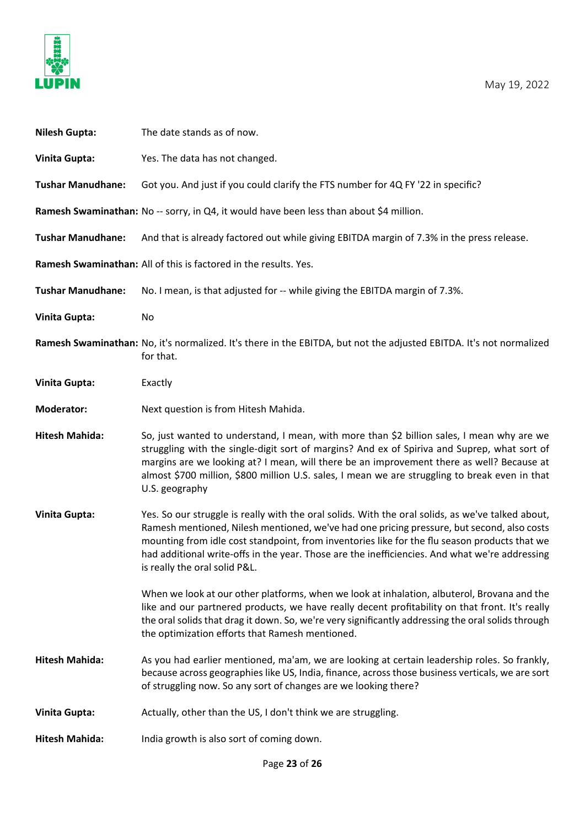

| <b>Nilesh Gupta:</b>     | The date stands as of now.                                                                                                                                                                                                                                                                                                                                                                                                          |
|--------------------------|-------------------------------------------------------------------------------------------------------------------------------------------------------------------------------------------------------------------------------------------------------------------------------------------------------------------------------------------------------------------------------------------------------------------------------------|
| <b>Vinita Gupta:</b>     | Yes. The data has not changed.                                                                                                                                                                                                                                                                                                                                                                                                      |
| <b>Tushar Manudhane:</b> | Got you. And just if you could clarify the FTS number for 4Q FY '22 in specific?                                                                                                                                                                                                                                                                                                                                                    |
|                          | Ramesh Swaminathan: No -- sorry, in Q4, it would have been less than about \$4 million.                                                                                                                                                                                                                                                                                                                                             |
| <b>Tushar Manudhane:</b> | And that is already factored out while giving EBITDA margin of 7.3% in the press release.                                                                                                                                                                                                                                                                                                                                           |
|                          | Ramesh Swaminathan: All of this is factored in the results. Yes.                                                                                                                                                                                                                                                                                                                                                                    |
| <b>Tushar Manudhane:</b> | No. I mean, is that adjusted for -- while giving the EBITDA margin of 7.3%.                                                                                                                                                                                                                                                                                                                                                         |
| <b>Vinita Gupta:</b>     | No                                                                                                                                                                                                                                                                                                                                                                                                                                  |
|                          | Ramesh Swaminathan: No, it's normalized. It's there in the EBITDA, but not the adjusted EBITDA. It's not normalized<br>for that.                                                                                                                                                                                                                                                                                                    |
| <b>Vinita Gupta:</b>     | Exactly                                                                                                                                                                                                                                                                                                                                                                                                                             |
| <b>Moderator:</b>        | Next question is from Hitesh Mahida.                                                                                                                                                                                                                                                                                                                                                                                                |
| <b>Hitesh Mahida:</b>    | So, just wanted to understand, I mean, with more than \$2 billion sales, I mean why are we<br>struggling with the single-digit sort of margins? And ex of Spiriva and Suprep, what sort of<br>margins are we looking at? I mean, will there be an improvement there as well? Because at<br>almost \$700 million, \$800 million U.S. sales, I mean we are struggling to break even in that<br>U.S. geography                         |
| <b>Vinita Gupta:</b>     | Yes. So our struggle is really with the oral solids. With the oral solids, as we've talked about,<br>Ramesh mentioned, Nilesh mentioned, we've had one pricing pressure, but second, also costs<br>mounting from idle cost standpoint, from inventories like for the flu season products that we<br>had additional write-offs in the year. Those are the inefficiencies. And what we're addressing<br>is really the oral solid P&L. |
|                          | When we look at our other platforms, when we look at inhalation, albuterol, Brovana and the<br>like and our partnered products, we have really decent profitability on that front. It's really<br>the oral solids that drag it down. So, we're very significantly addressing the oral solids through<br>the optimization efforts that Ramesh mentioned.                                                                             |
| <b>Hitesh Mahida:</b>    | As you had earlier mentioned, ma'am, we are looking at certain leadership roles. So frankly,<br>because across geographies like US, India, finance, across those business verticals, we are sort<br>of struggling now. So any sort of changes are we looking there?                                                                                                                                                                 |
| <b>Vinita Gupta:</b>     | Actually, other than the US, I don't think we are struggling.                                                                                                                                                                                                                                                                                                                                                                       |
| <b>Hitesh Mahida:</b>    | India growth is also sort of coming down.                                                                                                                                                                                                                                                                                                                                                                                           |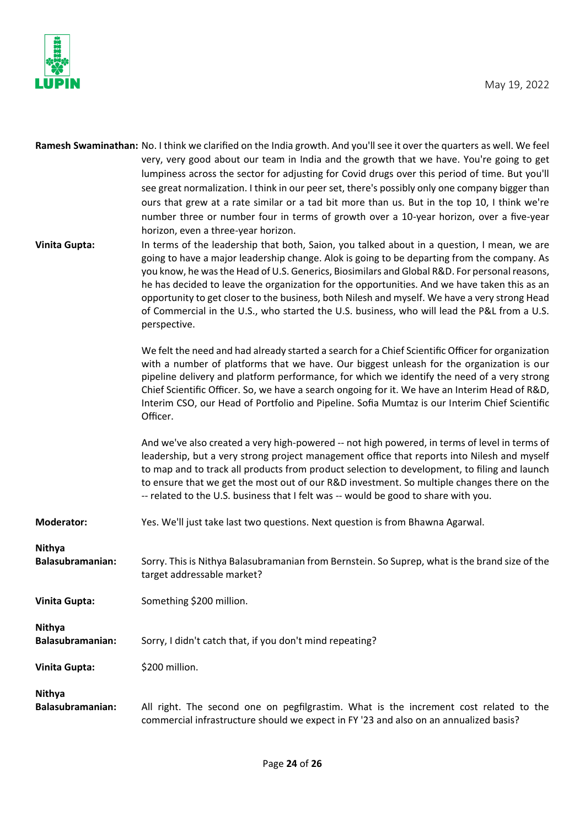

|                                          | Ramesh Swaminathan: No. I think we clarified on the India growth. And you'll see it over the quarters as well. We feel                                                                                                                                                                                                                                                                                                                                                                                                                                                                      |
|------------------------------------------|---------------------------------------------------------------------------------------------------------------------------------------------------------------------------------------------------------------------------------------------------------------------------------------------------------------------------------------------------------------------------------------------------------------------------------------------------------------------------------------------------------------------------------------------------------------------------------------------|
|                                          | very, very good about our team in India and the growth that we have. You're going to get                                                                                                                                                                                                                                                                                                                                                                                                                                                                                                    |
|                                          | lumpiness across the sector for adjusting for Covid drugs over this period of time. But you'll                                                                                                                                                                                                                                                                                                                                                                                                                                                                                              |
|                                          | see great normalization. I think in our peer set, there's possibly only one company bigger than                                                                                                                                                                                                                                                                                                                                                                                                                                                                                             |
|                                          | ours that grew at a rate similar or a tad bit more than us. But in the top 10, I think we're                                                                                                                                                                                                                                                                                                                                                                                                                                                                                                |
|                                          |                                                                                                                                                                                                                                                                                                                                                                                                                                                                                                                                                                                             |
|                                          | number three or number four in terms of growth over a 10-year horizon, over a five-year<br>horizon, even a three-year horizon.                                                                                                                                                                                                                                                                                                                                                                                                                                                              |
| <b>Vinita Gupta:</b>                     | In terms of the leadership that both, Saion, you talked about in a question, I mean, we are<br>going to have a major leadership change. Alok is going to be departing from the company. As<br>you know, he was the Head of U.S. Generics, Biosimilars and Global R&D. For personal reasons,<br>he has decided to leave the organization for the opportunities. And we have taken this as an<br>opportunity to get closer to the business, both Nilesh and myself. We have a very strong Head<br>of Commercial in the U.S., who started the U.S. business, who will lead the P&L from a U.S. |
|                                          | perspective.                                                                                                                                                                                                                                                                                                                                                                                                                                                                                                                                                                                |
|                                          | We felt the need and had already started a search for a Chief Scientific Officer for organization<br>with a number of platforms that we have. Our biggest unleash for the organization is our<br>pipeline delivery and platform performance, for which we identify the need of a very strong<br>Chief Scientific Officer. So, we have a search ongoing for it. We have an Interim Head of R&D,<br>Interim CSO, our Head of Portfolio and Pipeline. Sofia Mumtaz is our Interim Chief Scientific<br>Officer.                                                                                 |
|                                          | And we've also created a very high-powered -- not high powered, in terms of level in terms of<br>leadership, but a very strong project management office that reports into Nilesh and myself<br>to map and to track all products from product selection to development, to filing and launch<br>to ensure that we get the most out of our R&D investment. So multiple changes there on the<br>-- related to the U.S. business that I felt was -- would be good to share with you.                                                                                                           |
| <b>Moderator:</b>                        | Yes. We'll just take last two questions. Next question is from Bhawna Agarwal.                                                                                                                                                                                                                                                                                                                                                                                                                                                                                                              |
| Nithya<br><b>Balasubramanian:</b>        | Sorry. This is Nithya Balasubramanian from Bernstein. So Suprep, what is the brand size of the<br>target addressable market?                                                                                                                                                                                                                                                                                                                                                                                                                                                                |
| <b>Vinita Gupta:</b>                     | Something \$200 million.                                                                                                                                                                                                                                                                                                                                                                                                                                                                                                                                                                    |
| <b>Nithya</b>                            |                                                                                                                                                                                                                                                                                                                                                                                                                                                                                                                                                                                             |
| <b>Balasubramanian:</b>                  | Sorry, I didn't catch that, if you don't mind repeating?                                                                                                                                                                                                                                                                                                                                                                                                                                                                                                                                    |
| <b>Vinita Gupta:</b>                     | \$200 million.                                                                                                                                                                                                                                                                                                                                                                                                                                                                                                                                                                              |
|                                          |                                                                                                                                                                                                                                                                                                                                                                                                                                                                                                                                                                                             |
| <b>Nithya</b><br><b>Balasubramanian:</b> | All right. The second one on pegfilgrastim. What is the increment cost related to the<br>commercial infrastructure should we expect in FY '23 and also on an annualized basis?                                                                                                                                                                                                                                                                                                                                                                                                              |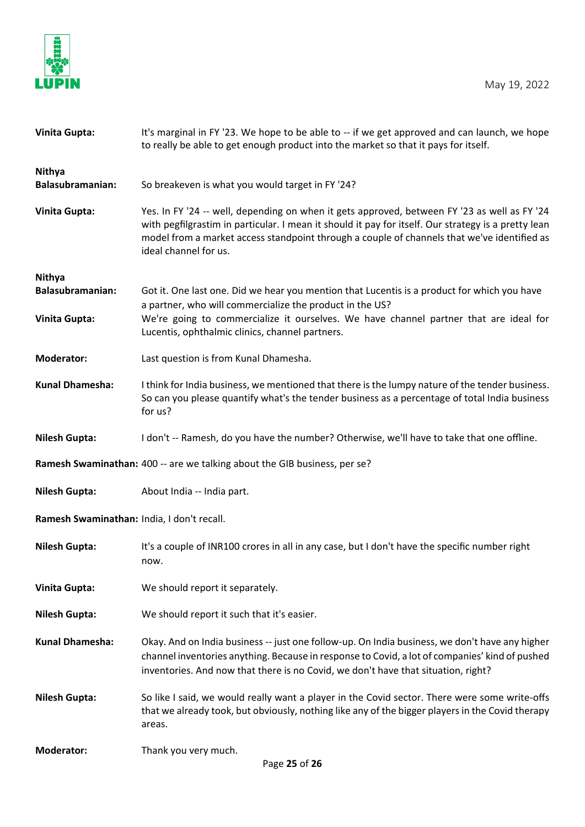

| <b>Vinita Gupta:</b>                       | It's marginal in FY '23. We hope to be able to -- if we get approved and can launch, we hope<br>to really be able to get enough product into the market so that it pays for itself.                                                                                                                                         |
|--------------------------------------------|-----------------------------------------------------------------------------------------------------------------------------------------------------------------------------------------------------------------------------------------------------------------------------------------------------------------------------|
| <b>Nithya</b><br><b>Balasubramanian:</b>   | So breakeven is what you would target in FY '24?                                                                                                                                                                                                                                                                            |
| <b>Vinita Gupta:</b>                       | Yes. In FY '24 -- well, depending on when it gets approved, between FY '23 as well as FY '24<br>with pegfilgrastim in particular. I mean it should it pay for itself. Our strategy is a pretty lean<br>model from a market access standpoint through a couple of channels that we've identified as<br>ideal channel for us. |
| <b>Nithya</b>                              |                                                                                                                                                                                                                                                                                                                             |
| <b>Balasubramanian:</b>                    | Got it. One last one. Did we hear you mention that Lucentis is a product for which you have<br>a partner, who will commercialize the product in the US?                                                                                                                                                                     |
| <b>Vinita Gupta:</b>                       | We're going to commercialize it ourselves. We have channel partner that are ideal for<br>Lucentis, ophthalmic clinics, channel partners.                                                                                                                                                                                    |
| <b>Moderator:</b>                          | Last question is from Kunal Dhamesha.                                                                                                                                                                                                                                                                                       |
| <b>Kunal Dhamesha:</b>                     | I think for India business, we mentioned that there is the lumpy nature of the tender business.<br>So can you please quantify what's the tender business as a percentage of total India business<br>for us?                                                                                                                 |
| <b>Nilesh Gupta:</b>                       | I don't -- Ramesh, do you have the number? Otherwise, we'll have to take that one offline.                                                                                                                                                                                                                                  |
|                                            | Ramesh Swaminathan: 400 -- are we talking about the GIB business, per se?                                                                                                                                                                                                                                                   |
| <b>Nilesh Gupta:</b>                       | About India -- India part.                                                                                                                                                                                                                                                                                                  |
| Ramesh Swaminathan: India, I don't recall. |                                                                                                                                                                                                                                                                                                                             |
| <b>Nilesh Gupta:</b>                       | It's a couple of INR100 crores in all in any case, but I don't have the specific number right<br>now.                                                                                                                                                                                                                       |
| <b>Vinita Gupta:</b>                       | We should report it separately.                                                                                                                                                                                                                                                                                             |
| <b>Nilesh Gupta:</b>                       | We should report it such that it's easier.                                                                                                                                                                                                                                                                                  |
| <b>Kunal Dhamesha:</b>                     | Okay. And on India business -- just one follow-up. On India business, we don't have any higher<br>channel inventories anything. Because in response to Covid, a lot of companies' kind of pushed<br>inventories. And now that there is no Covid, we don't have that situation, right?                                       |
| <b>Nilesh Gupta:</b>                       | So like I said, we would really want a player in the Covid sector. There were some write-offs<br>that we already took, but obviously, nothing like any of the bigger players in the Covid therapy<br>areas.                                                                                                                 |
| <b>Moderator:</b>                          | Thank you very much.                                                                                                                                                                                                                                                                                                        |